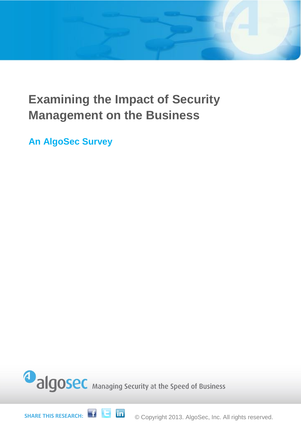

# **Examining the Impact of Security Management on the Business**

**An AlgoSec Survey**



**SHARE THIS RESEARCH:** 

© Copyright 2013. AlgoSec, Inc. All rights reserved.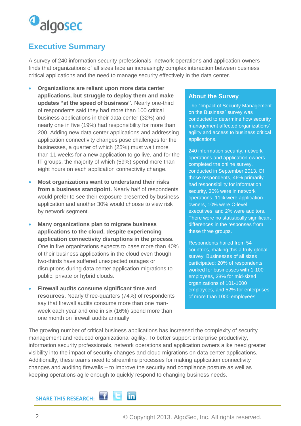

#### **Executive Summary**

A survey of 240 information security professionals, network operations and application owners finds that organizations of all sizes face an increasingly complex interaction between business critical applications and the need to manage security effectively in the data center.

- **Organizations are reliant upon more data center applications, but struggle to deploy them and make updates "at the speed of business".** Nearly one-third of respondents said they had more than 100 critical business applications in their data center (32%) and nearly one in five (19%) had responsibility for more than 200. Adding new data center applications and addressing application connectivity changes pose challenges for the businesses, a quarter of which (25%) must wait more than 11 weeks for a new application to go live, and for the IT groups, the majority of which (59%) spend more than eight hours on each application connectivity change.
- **Most organizations want to understand their risks from a business standpoint.** Nearly half of respondents would prefer to see their exposure presented by business application and another 30% would choose to view risk by network segment.
- **Many organizations plan to migrate business applications to the cloud, despite experiencing application connectivity disruptions in the process.**  One in five organizations expects to base more than 40% of their business applications in the cloud even though two-thirds have suffered unexpected outages or disruptions during data center application migrations to public, private or hybrid clouds.
- **Firewall audits consume significant time and resources.** Nearly three-quarters (74%) of respondents say that firewall audits consume more than one manweek each year and one in six (16%) spend more than one month on firewall audits annually.

#### **About the Survey**

The "Impact of Security Management on the Business" survey was conducted to determine how security management affected organizations' agility and access to business critical applications.

240 information security, network operations and application owners completed the online survey, conducted in September 2013. Of those respondents, 46% primarily had responsibility for information security, 30% were in network operations, 11% were application owners, 10% were C-level executives, and 2% were auditors. There were no statistically significant differences in the responses from these three groups.

Respondents hailed from 54 countries, making this a truly global survey. Businesses of all sizes participated: 20% of respondents worked for businesses with 1-100 employees, 28% for mid-sized organizations of 101-1000 employees, and 52% for enterprises of more than 1000 employees.

The growing number of critical business applications has increased the complexity of security management and reduced organizational agility. To better support enterprise productivity, information security professionals, network operations and application owners alike need greater visibility into the impact of security changes and cloud migrations on data center applications. Additionally, these teams need to streamline processes for making application connectivity changes and auditing firewalls – to improve the security and compliance posture as well as keeping operations agile enough to quickly respond to changing business needs.

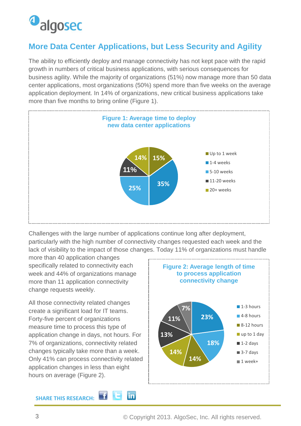

### **More Data Center Applications, but Less Security and Agility**

The ability to efficiently deploy and manage connectivity has not kept pace with the rapid growth in numbers of critical business applications, with serious consequences for business agility. While the majority of organizations (51%) now manage more than 50 data center applications, most organizations (50%) spend more than five weeks on the average application deployment. In 14% of organizations, new critical business applications take more than five months to bring online (Figure 1).



Challenges with the large number of applications continue long after deployment, particularly with the high number of connectivity changes requested each week and the lack of visibility to the impact of those changes. Today 11% of organizations must handle

more than 40 application changes specifically related to connectivity each week and 44% of organizations manage more than 11 application connectivity change requests weekly.

All those connectivity related changes create a significant load for IT teams. Forty-five percent of organizations measure time to process this type of application change in days, not hours. For 7% of organizations, connectivity related changes typically take more than a week. Only 41% can process connectivity related application changes in less than eight hours on average (Figure 2).



**SHARE THIS RESEARCH:** in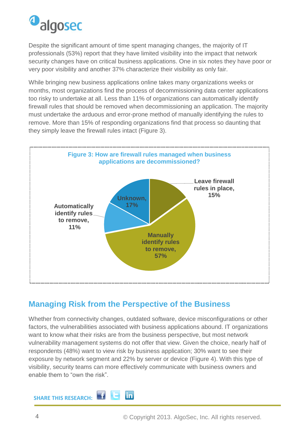

Despite the significant amount of time spent managing changes, the majority of IT professionals (53%) report that they have limited visibility into the impact that network security changes have on critical business applications. One in six notes they have poor or very poor visibility and another 37% characterize their visibility as only fair.

While bringing new business applications online takes many organizations weeks or months, most organizations find the process of decommissioning data center applications too risky to undertake at all. Less than 11% of organizations can automatically identify firewall rules that should be removed when decommissioning an application. The majority must undertake the arduous and error-prone method of manually identifying the rules to remove. More than 15% of responding organizations find that process so daunting that they simply leave the firewall rules intact (Figure 3).



#### **Managing Risk from the Perspective of the Business**

Whether from connectivity changes, outdated software, device misconfigurations or other factors, the vulnerabilities associated with business applications abound. IT organizations want to know what their risks are from the business perspective, but most network vulnerability management systems do not offer that view. Given the choice, nearly half of respondents (48%) want to view risk by business application; 30% want to see their exposure by network segment and 22% by server or device (Figure 4). With this type of visibility, security teams can more effectively communicate with business owners and enable them to "own the risk".

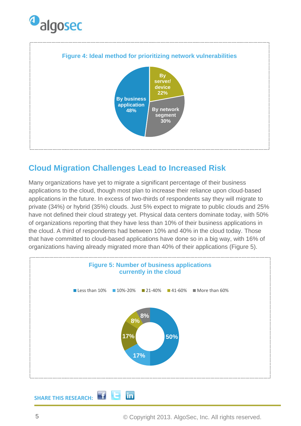



### **Cloud Migration Challenges Lead to Increased Risk**

Many organizations have yet to migrate a significant percentage of their business applications to the cloud, though most plan to increase their reliance upon cloud-based applications in the future. In excess of two-thirds of respondents say they will migrate to private (34%) or hybrid (35%) clouds. Just 5% expect to migrate to public clouds and 25% have not defined their cloud strategy yet. Physical data centers dominate today, with 50% of organizations reporting that they have less than 10% of their business applications in the cloud. A third of respondents had between 10% and 40% in the cloud today. Those that have committed to cloud-based applications have done so in a big way, with 16% of organizations having already migrated more than 40% of their applications (Figure 5).



5 © Copyright 2013. AlgoSec, Inc. All rights reserved.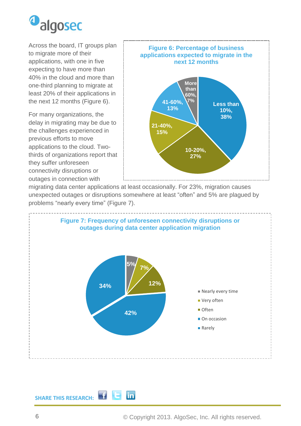

Across the board, IT groups plan to migrate more of their applications, with one in five expecting to have more than 40% in the cloud and more than one-third planning to migrate at least 20% of their applications in the next 12 months (Figure 6).

For many organizations, the delay in migrating may be due to the challenges experienced in previous efforts to move applications to the cloud. Twothirds of organizations report that they suffer unforeseen connectivity disruptions or outages in connection with



migrating data center applications at least occasionally. For 23%, migration causes unexpected outages or disruptions somewhere at least "often" and 5% are plagued by problems "nearly every time" (Figure 7).



#### **SHARE THIS RESEARCH:** in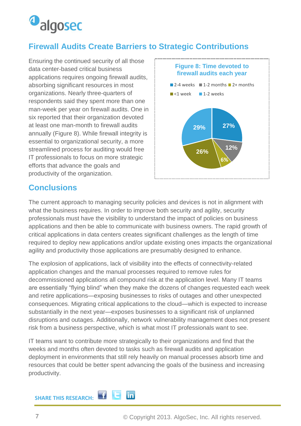

### **Firewall Audits Create Barriers to Strategic Contributions**

Ensuring the continued security of all those data center-based critical business applications requires ongoing firewall audits, absorbing significant resources in most organizations. Nearly three-quarters of respondents said they spent more than one man-week per year on firewall audits. One in six reported that their organization devoted at least one man-month to firewall audits annually (Figure 8). While firewall integrity is essential to organizational security, a more streamlined process for auditing would free IT professionals to focus on more strategic efforts that advance the goals and productivity of the organization.



#### **Conclusions**

The current approach to managing security policies and devices is not in alignment with what the business requires. In order to improve both security and agility, security professionals must have the visibility to understand the impact of policies on business applications and then be able to communicate with business owners. The rapid growth of critical applications in data centers creates significant challenges as the length of time required to deploy new applications and/or update existing ones impacts the organizational agility and productivity those applications are presumably designed to enhance.

The explosion of applications, lack of visibility into the effects of connectivity-related application changes and the manual processes required to remove rules for decommissioned applications all compound risk at the application level. Many IT teams are essentially "flying blind" when they make the dozens of changes requested each week and retire applications—exposing businesses to risks of outages and other unexpected consequences. Migrating critical applications to the cloud—which is expected to increase substantially in the next year—exposes businesses to a significant risk of unplanned disruptions and outages. Additionally, network vulnerability management does not present risk from a business perspective, which is what most IT professionals want to see.

IT teams want to contribute more strategically to their organizations and find that the weeks and months often devoted to tasks such as firewall audits and application deployment in environments that still rely heavily on manual processes absorb time and resources that could be better spent advancing the goals of the business and increasing productivity.